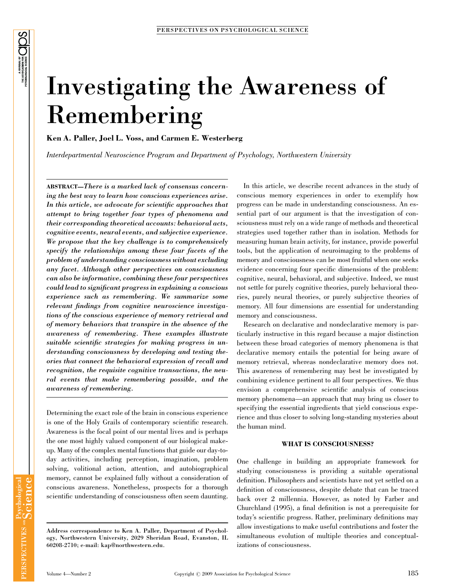# Investigating the Awareness of Remembering

Ken A. Paller, Joel L. Voss, and Carmen E. Westerberg

Interdepartmental Neuroscience Program and Department of Psychology, Northwestern University

ABSTRACT—There is a marked lack of consensus concerning the best way to learn how conscious experiences arise. In this article, we advocate for scientific approaches that attempt to bring together four types of phenomena and their corresponding theoretical accounts: behavioral acts, cognitive events, neural events, and subjective experience. We propose that the key challenge is to comprehensively specify the relationships among these four facets of the problem of understanding consciousness without excluding any facet. Although other perspectives on consciousness can also be informative, combining these four perspectives could lead to significant progress in explaining a conscious experience such as remembering. We summarize some relevant findings from cognitive neuroscience investigations of the conscious experience of memory retrieval and of memory behaviors that transpire in the absence of the awareness of remembering. These examples illustrate suitable scientific strategies for making progress in understanding consciousness by developing and testing theories that connect the behavioral expression of recall and recognition, the requisite cognitive transactions, the neural events that make remembering possible, and the awareness of remembering.

Determining the exact role of the brain in conscious experience is one of the Holy Grails of contemporary scientific research. Awareness is the focal point of our mental lives and is perhaps the one most highly valued component of our biological makeup. Many of the complex mental functions that guide our day-today activities, including perception, imagination, problem solving, volitional action, attention, and autobiographical memory, cannot be explained fully without a consideration of conscious awareness. Nonetheless, prospects for a thorough scientific understanding of consciousness often seem daunting.

In this article, we describe recent advances in the study of conscious memory experiences in order to exemplify how progress can be made in understanding consciousness. An essential part of our argument is that the investigation of consciousness must rely on a wide range of methods and theoretical strategies used together rather than in isolation. Methods for measuring human brain activity, for instance, provide powerful tools, but the application of neuroimaging to the problems of memory and consciousness can be most fruitful when one seeks evidence concerning four specific dimensions of the problem: cognitive, neural, behavioral, and subjective. Indeed, we must not settle for purely cognitive theories, purely behavioral theories, purely neural theories, or purely subjective theories of memory. All four dimensions are essential for understanding memory and consciousness.

Research on declarative and nondeclarative memory is particularly instructive in this regard because a major distinction between these broad categories of memory phenomena is that declarative memory entails the potential for being aware of memory retrieval, whereas nondeclarative memory does not. This awareness of remembering may best be investigated by combining evidence pertinent to all four perspectives. We thus envision a comprehensive scientific analysis of conscious memory phenomena—an approach that may bring us closer to specifying the essential ingredients that yield conscious experience and thus closer to solving long-standing mysteries about the human mind.

#### WHAT IS CONSCIOUSNESS?

One challenge in building an appropriate framework for studying consciousness is providing a suitable operational definition. Philosophers and scientists have not yet settled on a definition of consciousness, despite debate that can be traced back over 2 millennia. However, as noted by Farber and Churchland (1995), a final definition is not a prerequisite for today's scientific progress. Rather, preliminary definitions may allow investigations to make useful contributions and foster the simultaneous evolution of multiple theories and conceptualizations of consciousness.

Address correspondence to Ken A. Paller, Department of Psychology, Northwestern University, 2029 Sheridan Road, Evanston, IL 60208-2710; e-mail: kap@northwestern.edu.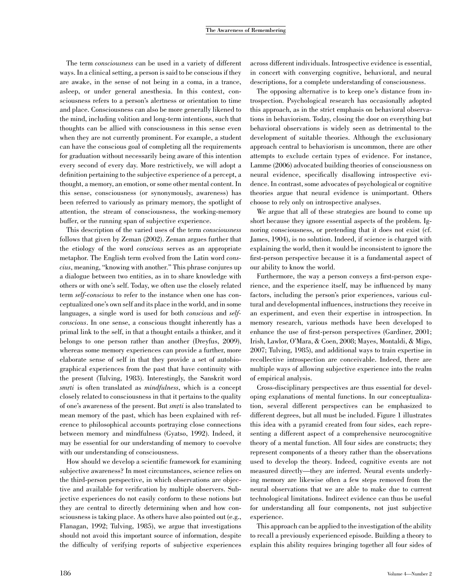The term consciousness can be used in a variety of different ways. In a clinical setting, a person is said to be conscious if they are awake, in the sense of not being in a coma, in a trance, asleep, or under general anesthesia. In this context, consciousness refers to a person's alertness or orientation to time and place. Consciousness can also be more generally likened to the mind, including volition and long-term intentions, such that thoughts can be allied with consciousness in this sense even when they are not currently prominent. For example, a student can have the conscious goal of completing all the requirements for graduation without necessarily being aware of this intention every second of every day. More restrictively, we will adopt a definition pertaining to the subjective experience of a percept, a thought, a memory, an emotion, or some other mental content. In this sense, consciousness (or synonymously, awareness) has been referred to variously as primary memory, the spotlight of attention, the stream of consciousness, the working-memory buffer, or the running span of subjective experience.

This description of the varied uses of the term consciousness follows that given by Zeman (2002). Zeman argues further that the etiology of the word conscious serves as an appropriate metaphor. The English term evolved from the Latin word conscius, meaning, ''knowing with another.'' This phrase conjures up a dialogue between two entities, as in to share knowledge with others or with one's self. Today, we often use the closely related term self-conscious to refer to the instance when one has conceptualized one's own self and its place in the world, and in some languages, a single word is used for both *conscious* and *self*conscious. In one sense, a conscious thought inherently has a primal link to the self, in that a thought entails a thinker, and it belongs to one person rather than another (Dreyfus, 2009), whereas some memory experiences can provide a further, more elaborate sense of self in that they provide a set of autobiographical experiences from the past that have continuity with the present (Tulving, 1983). Interestingly, the Sanskrit word smrti is often translated as *mindfulness*, which is a concept closely related to consciousness in that it pertains to the quality of one's awareness of the present. But  $\frac{s}{t}$  is also translated to mean memory of the past, which has been explained with reference to philosophical accounts portraying close connections between memory and mindfulness (Gyatso, 1992). Indeed, it may be essential for our understanding of memory to coevolve with our understanding of consciousness.

How should we develop a scientific framework for examining subjective awareness? In most circumstances, science relies on the third-person perspective, in which observations are objective and available for verification by multiple observers. Subjective experiences do not easily conform to these notions but they are central to directly determining when and how consciousness is taking place. As others have also pointed out (e.g., Flanagan, 1992; Tulving, 1985), we argue that investigations should not avoid this important source of information, despite the difficulty of verifying reports of subjective experiences

across different individuals. Introspective evidence is essential, in concert with converging cognitive, behavioral, and neural descriptions, for a complete understanding of consciousness.

The opposing alternative is to keep one's distance from introspection. Psychological research has occasionally adopted this approach, as in the strict emphasis on behavioral observations in behaviorism. Today, closing the door on everything but behavioral observations is widely seen as detrimental to the development of suitable theories. Although the exclusionary approach central to behaviorism is uncommon, there are other attempts to exclude certain types of evidence. For instance, Lamme (2006) advocated building theories of consciousness on neural evidence, specifically disallowing introspective evidence. In contrast, some advocates of psychological or cognitive theories argue that neural evidence is unimportant. Others choose to rely only on introspective analyses.

We argue that all of these strategies are bound to come up short because they ignore essential aspects of the problem. Ignoring consciousness, or pretending that it does not exist (cf. James, 1904), is no solution. Indeed, if science is charged with explaining the world, then it would be inconsistent to ignore the first-person perspective because it is a fundamental aspect of our ability to know the world.

Furthermore, the way a person conveys a first-person experience, and the experience itself, may be influenced by many factors, including the person's prior experiences, various cultural and developmental influences, instructions they receive in an experiment, and even their expertise in introspection. In memory research, various methods have been developed to enhance the use of first-person perspectives (Gardiner, 2001; Irish, Lawlor, O'Mara, & Coen, 2008; Mayes, Montaldi, & Migo, 2007; Tulving, 1985), and additional ways to train expertise in recollective introspection are conceivable. Indeed, there are multiple ways of allowing subjective experience into the realm of empirical analysis.

Cross-disciplinary perspectives are thus essential for developing explanations of mental functions. In our conceptualization, several different perspectives can be emphasized to different degrees, but all must be included. Figure 1 illustrates this idea with a pyramid created from four sides, each representing a different aspect of a comprehensive neurocognitive theory of a mental function. All four sides are constructs; they represent components of a theory rather than the observations used to develop the theory. Indeed, cognitive events are not measured directly—they are inferred. Neural events underlying memory are likewise often a few steps removed from the neural observations that we are able to make due to current technological limitations. Indirect evidence can thus be useful for understanding all four components, not just subjective experience.

This approach can be applied to the investigation of the ability to recall a previously experienced episode. Building a theory to explain this ability requires bringing together all four sides of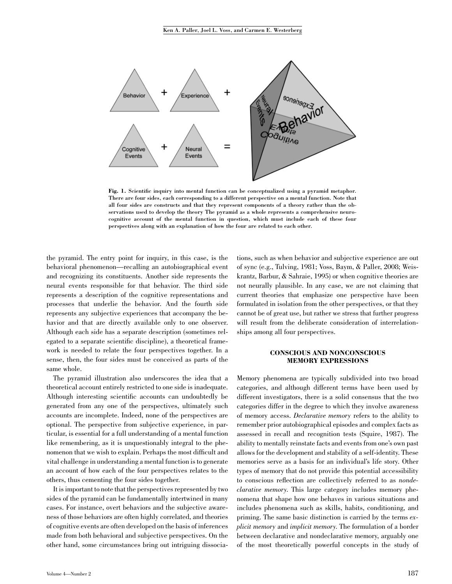

Fig. 1. Scientific inquiry into mental function can be conceptualized using a pyramid metaphor. There are four sides, each corresponding to a different perspective on a mental function. Note that all four sides are constructs and that they represent components of a theory rather than the observations used to develop the theory The pyramid as a whole represents a comprehensive neurocognitive account of the mental function in question, which must include each of these four perspectives along with an explanation of how the four are related to each other.

the pyramid. The entry point for inquiry, in this case, is the behavioral phenomenon—recalling an autobiographical event and recognizing its constituents. Another side represents the neural events responsible for that behavior. The third side represents a description of the cognitive representations and processes that underlie the behavior. And the fourth side represents any subjective experiences that accompany the behavior and that are directly available only to one observer. Although each side has a separate description (sometimes relegated to a separate scientific discipline), a theoretical framework is needed to relate the four perspectives together. In a sense, then, the four sides must be conceived as parts of the same whole.

The pyramid illustration also underscores the idea that a theoretical account entirely restricted to one side is inadequate. Although interesting scientific accounts can undoubtedly be generated from any one of the perspectives, ultimately such accounts are incomplete. Indeed, none of the perspectives are optional. The perspective from subjective experience, in particular, is essential for a full understanding of a mental function like remembering, as it is unquestionably integral to the phenomenon that we wish to explain. Perhaps the most difficult and vital challenge in understanding a mental function is to generate an account of how each of the four perspectives relates to the others, thus cementing the four sides together.

It is important to note that the perspectives represented by two sides of the pyramid can be fundamentally intertwined in many cases. For instance, overt behaviors and the subjective awareness of those behaviors are often highly correlated, and theories of cognitive events are often developed on the basis of inferences made from both behavioral and subjective perspectives. On the other hand, some circumstances bring out intriguing dissociations, such as when behavior and subjective experience are out of sync (e.g., Tulving, 1981; Voss, Baym, & Paller, 2008; Weiskrantz, Barbur, & Sahraie, 1995) or when cognitive theories are not neurally plausible. In any case, we are not claiming that current theories that emphasize one perspective have been formulated in isolation from the other perspectives, or that they cannot be of great use, but rather we stress that further progress will result from the deliberate consideration of interrelationships among all four perspectives.

### CONSCIOUS AND NONCONSCIOUS MEMORY EXPRESSIONS

Memory phenomena are typically subdivided into two broad categories, and although different terms have been used by different investigators, there is a solid consensus that the two categories differ in the degree to which they involve awareness of memory access. Declarative memory refers to the ability to remember prior autobiographical episodes and complex facts as assessed in recall and recognition tests (Squire, 1987). The ability to mentally reinstate facts and events from one's own past allows for the development and stability of a self-identity. These memories serve as a basis for an individual's life story. Other types of memory that do not provide this potential accessibility to conscious reflection are collectively referred to as nondeclarative memory. This large category includes memory phenomena that shape how one behaves in various situations and includes phenomena such as skills, habits, conditioning, and priming. The same basic distinction is carried by the terms explicit memory and implicit memory. The formulation of a border between declarative and nondeclarative memory, arguably one of the most theoretically powerful concepts in the study of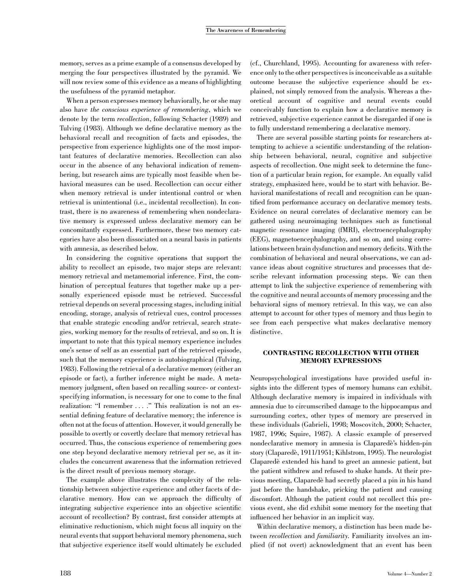memory, serves as a prime example of a consensus developed by merging the four perspectives illustrated by the pyramid. We will now review some of this evidence as a means of highlighting the usefulness of the pyramid metaphor.

When a person expresses memory behaviorally, he or she may also have the conscious experience of remembering, which we denote by the term recollection, following Schacter (1989) and Tulving (1983). Although we define declarative memory as the behavioral recall and recognition of facts and episodes, the perspective from experience highlights one of the most important features of declarative memories. Recollection can also occur in the absence of any behavioral indication of remembering, but research aims are typically most feasible when behavioral measures can be used. Recollection can occur either when memory retrieval is under intentional control or when retrieval is unintentional (i.e., incidental recollection). In contrast, there is no awareness of remembering when nondeclarative memory is expressed unless declarative memory can be concomitantly expressed. Furthermore, these two memory categories have also been dissociated on a neural basis in patients with amnesia, as described below.

In considering the cognitive operations that support the ability to recollect an episode, two major steps are relevant: memory retrieval and metamemorial inference. First, the combination of perceptual features that together make up a personally experienced episode must be retrieved. Successful retrieval depends on several processing stages, including initial encoding, storage, analysis of retrieval cues, control processes that enable strategic encoding and/or retrieval, search strategies, working memory for the results of retrieval, and so on. It is important to note that this typical memory experience includes one's sense of self as an essential part of the retrieved episode, such that the memory experience is autobiographical (Tulving, 1983). Following the retrieval of a declarative memory (either an episode or fact), a further inference might be made. A metamemory judgment, often based on recalling source- or contextspecifying information, is necessary for one to come to the final realization: "I remember ...." This realization is not an essential defining feature of declarative memory; the inference is often not at the focus of attention. However, it would generally be possible to overtly or covertly declare that memory retrieval has occurred. Thus, the conscious experience of remembering goes one step beyond declarative memory retrieval per se, as it includes the concurrent awareness that the information retrieved is the direct result of previous memory storage.

The example above illustrates the complexity of the relationship between subjective experience and other facets of declarative memory. How can we approach the difficulty of integrating subjective experience into an objective scientific account of recollection? By contrast, first consider attempts at eliminative reductionism, which might focus all inquiry on the neural events that support behavioral memory phenomena, such that subjective experience itself would ultimately be excluded (cf., Churchland, 1995). Accounting for awareness with reference only to the other perspectives is inconceivable as a suitable outcome because the subjective experience should be explained, not simply removed from the analysis. Whereas a theoretical account of cognitive and neural events could conceivably function to explain how a declarative memory is retrieved, subjective experience cannot be disregarded if one is to fully understand remembering a declarative memory.

There are several possible starting points for researchers attempting to achieve a scientific understanding of the relationship between behavioral, neural, cognitive and subjective aspects of recollection. One might seek to determine the function of a particular brain region, for example. An equally valid strategy, emphasized here, would be to start with behavior. Behavioral manifestations of recall and recognition can be quantified from performance accuracy on declarative memory tests. Evidence on neural correlates of declarative memory can be gathered using neuroimaging techniques such as functional magnetic resonance imaging (fMRI), electroencephalography (EEG), magnetoencephalography, and so on, and using correlations between brain dysfunction and memory deficits. With the combination of behavioral and neural observations, we can advance ideas about cognitive structures and processes that describe relevant information processing steps. We can then attempt to link the subjective experience of remembering with the cognitive and neural accounts of memory processing and the behavioral signs of memory retrieval. In this way, we can also attempt to account for other types of memory and thus begin to see from each perspective what makes declarative memory distinctive.

# CONTRASTING RECOLLECTION WITH OTHER MEMORY EXPRESSIONS

Neuropsychological investigations have provided useful insights into the different types of memory humans can exhibit. Although declarative memory is impaired in individuals with amnesia due to circumscribed damage to the hippocampus and surrounding cortex, other types of memory are preserved in these individuals (Gabrieli, 1998; Moscovitch, 2000; Schacter, 1987, 1996; Squire, 1987). A classic example of preserved nondeclarative memory in amnesia is Claparede`'s hidden-pin story (Claparedè, 1911/1951; Kihlstrom, 1995). The neurologist Claparede` extended his hand to greet an amnesic patient, but the patient withdrew and refused to shake hands. At their previous meeting, Claparede` had secretly placed a pin in his hand just before the handshake, pricking the patient and causing discomfort. Although the patient could not recollect this previous event, she did exhibit some memory for the meeting that influenced her behavior in an implicit way.

Within declarative memory, a distinction has been made between recollection and familiarity. Familiarity involves an implied (if not overt) acknowledgment that an event has been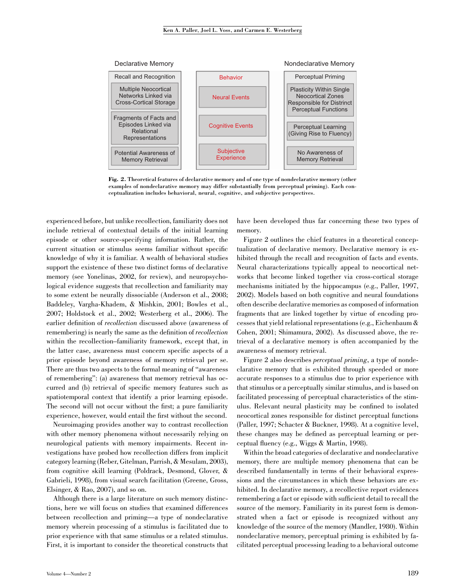

Fig. 2. Theoretical features of declarative memory and of one type of nondeclarative memory (other examples of nondeclarative memory may differ substantially from perceptual priming). Each conceptualization includes behavioral, neural, cognitive, and subjective perspectives.

experienced before, but unlike recollection, familiarity does not include retrieval of contextual details of the initial learning episode or other source-specifying information. Rather, the current situation or stimulus seems familiar without specific knowledge of why it is familiar. A wealth of behavioral studies support the existence of these two distinct forms of declarative memory (see Yonelinas, 2002, for review), and neuropsychological evidence suggests that recollection and familiarity may to some extent be neurally dissociable (Anderson et al., 2008; Baddeley, Vargha-Khadem, & Mishkin, 2001; Bowles et al., 2007; Holdstock et al., 2002; Westerberg et al., 2006). The earlier definition of recollection discussed above (awareness of remembering) is nearly the same as the definition of recollection within the recollection–familiarity framework, except that, in the latter case, awareness must concern specific aspects of a prior episode beyond awareness of memory retrieval per se. There are thus two aspects to the formal meaning of ''awareness of remembering'': (a) awareness that memory retrieval has occurred and (b) retrieval of specific memory features such as spatiotemporal context that identify a prior learning episode. The second will not occur without the first; a pure familiarity experience, however, would entail the first without the second.

Neuroimaging provides another way to contrast recollection with other memory phenomena without necessarily relying on neurological patients with memory impairments. Recent investigations have probed how recollection differs from implicit category learning (Reber, Gitelman, Parrish, & Mesulam, 2003), from cognitive skill learning (Poldrack, Desmond, Glover, & Gabrieli, 1998), from visual search facilitation (Greene, Gross, Elsinger, & Rao, 2007), and so on.

Although there is a large literature on such memory distinctions, here we will focus on studies that examined differences between recollection and priming—a type of nondeclarative memory wherein processing of a stimulus is facilitated due to prior experience with that same stimulus or a related stimulus. First, it is important to consider the theoretical constructs that have been developed thus far concerning these two types of memory.

Figure 2 outlines the chief features in a theoretical conceptualization of declarative memory. Declarative memory is exhibited through the recall and recognition of facts and events. Neural characterizations typically appeal to neocortical networks that become linked together via cross-cortical storage mechanisms initiated by the hippocampus (e.g., Paller, 1997, 2002). Models based on both cognitive and neural foundations often describe declarative memories as composed of information fragments that are linked together by virtue of encoding processes that yield relational representations (e.g., Eichenbaum & Cohen, 2001; Shimamura, 2002). As discussed above, the retrieval of a declarative memory is often accompanied by the awareness of memory retrieval.

Figure 2 also describes perceptual priming, a type of nondeclarative memory that is exhibited through speeded or more accurate responses to a stimulus due to prior experience with that stimulus or a perceptually similar stimulus, and is based on facilitated processing of perceptual characteristics of the stimulus. Relevant neural plasticity may be confined to isolated neocortical zones responsible for distinct perceptual functions (Paller, 1997; Schacter & Buckner, 1998). At a cognitive level, these changes may be defined as perceptual learning or perceptual fluency (e.g., Wiggs & Martin, 1998).

Within the broad categories of declarative and nondeclarative memory, there are multiple memory phenomena that can be described fundamentally in terms of their behavioral expressions and the circumstances in which these behaviors are exhibited. In declarative memory, a recollective report evidences remembering a fact or episode with sufficient detail to recall the source of the memory. Familiarity in its purest form is demonstrated when a fact or episode is recognized without any knowledge of the source of the memory (Mandler, 1980). Within nondeclarative memory, perceptual priming is exhibited by facilitated perceptual processing leading to a behavioral outcome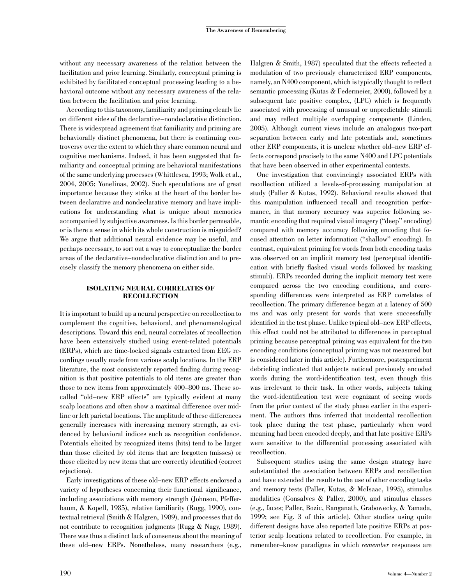without any necessary awareness of the relation between the facilitation and prior learning. Similarly, conceptual priming is exhibited by facilitated conceptual processing leading to a behavioral outcome without any necessary awareness of the relation between the facilitation and prior learning.

According to this taxonomy, familiarity and priming clearly lie on different sides of the declarative–nondeclarative distinction. There is widespread agreement that familiarity and priming are behaviorally distinct phenomena, but there is continuing controversy over the extent to which they share common neural and cognitive mechanisms. Indeed, it has been suggested that familiarity and conceptual priming are behavioral manifestations of the same underlying processes (Whittlesea, 1993; Wolk et al., 2004, 2005; Yonelinas, 2002). Such speculations are of great importance because they strike at the heart of the border between declarative and nondeclarative memory and have implications for understanding what is unique about memories accompanied by subjective awareness. Is this border permeable, or is there a sense in which its whole construction is misguided? We argue that additional neural evidence may be useful, and perhaps necessary, to sort out a way to conceptualize the border areas of the declarative–nondeclarative distinction and to precisely classify the memory phenomena on either side.

### ISOLATING NEURAL CORRELATES OF **RECOLLECTION**

It is important to build up a neural perspective on recollection to complement the cognitive, behavioral, and phenomenological descriptions. Toward this end, neural correlates of recollection have been extensively studied using event-related potentials (ERPs), which are time-locked signals extracted from EEG recordings usually made from various scalp locations. In the ERP literature, the most consistently reported finding during recognition is that positive potentials to old items are greater than those to new items from approximately 400–800 ms. These socalled ''old–new ERP effects'' are typically evident at many scalp locations and often show a maximal difference over midline or left parietal locations. The amplitude of these differences generally increases with increasing memory strength, as evidenced by behavioral indices such as recognition confidence. Potentials elicited by recognized items (hits) tend to be larger than those elicited by old items that are forgotten (misses) or those elicited by new items that are correctly identified (correct rejections).

Early investigations of these old–new ERP effects endorsed a variety of hypotheses concerning their functional significance, including associations with memory strength (Johnson, Pfefferbaum, & Kopell, 1985), relative familiarity (Rugg, 1990), contextual retrieval (Smith & Halgren, 1989), and processes that do not contribute to recognition judgments (Rugg & Nagy, 1989). There was thus a distinct lack of consensus about the meaning of these old–new ERPs. Nonetheless, many researchers (e.g.,

Halgren & Smith, 1987) speculated that the effects reflected a modulation of two previously characterized ERP components, namely, an N400 component, which is typically thought to reflect semantic processing (Kutas & Federmeier, 2000), followed by a subsequent late positive complex, (LPC) which is frequently associated with processing of unusual or unpredictable stimuli and may reflect multiple overlapping components (Linden, 2005). Although current views include an analogous two-part separation between early and late potentials and, sometimes other ERP components, it is unclear whether old–new ERP effects correspond precisely to the same N400 and LPC potentials that have been observed in other experimental contexts.

One investigation that convincingly associated ERPs with recollection utilized a levels-of-processing manipulation at study (Paller & Kutas, 1992). Behavioral results showed that this manipulation influenced recall and recognition performance, in that memory accuracy was superior following semantic encoding that required visual imagery ("deep" encoding) compared with memory accuracy following encoding that focused attention on letter information (''shallow'' encoding). In contrast, equivalent priming for words from both encoding tasks was observed on an implicit memory test (perceptual identification with briefly flashed visual words followed by masking stimuli). ERPs recorded during the implicit memory test were compared across the two encoding conditions, and corresponding differences were interpreted as ERP correlates of recollection. The primary difference began at a latency of 500 ms and was only present for words that were successfully identified in the test phase. Unlike typical old–new ERP effects, this effect could not be attributed to differences in perceptual priming because perceptual priming was equivalent for the two encoding conditions (conceptual priming was not measured but is considered later in this article). Furthermore, postexperiment debriefing indicated that subjects noticed previously encoded words during the word-identification test, even though this was irrelevant to their task. In other words, subjects taking the word-identification test were cognizant of seeing words from the prior context of the study phase earlier in the experiment. The authors thus inferred that incidental recollection took place during the test phase, particularly when word meaning had been encoded deeply, and that late positive ERPs were sensitive to the differential processing associated with recollection.

Subsequent studies using the same design strategy have substantiated the association between ERPs and recollection and have extended the results to the use of other encoding tasks and memory tests (Paller, Kutas, & McIsaac, 1995), stimulus modalities (Gonsalves & Paller, 2000), and stimulus classes (e.g., faces; Paller, Bozic, Ranganath, Grabowecky, & Yamada, 1999; see Fig. 3 of this article). Other studies using quite different designs have also reported late positive ERPs at posterior scalp locations related to recollection. For example, in remember–know paradigms in which remember responses are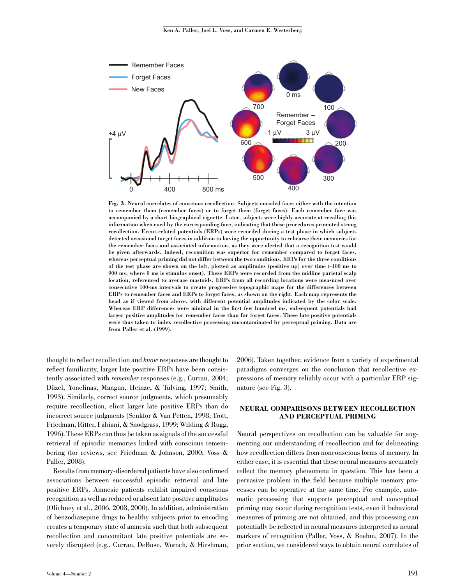

Fig. 3. Neural correlates of conscious recollection. Subjects encoded faces either with the intention to remember them (remember faces) or to forget them (forget faces). Each remember face was accompanied by a short biographical vignette. Later, subjects were highly accurate at recalling this information when cued by the corresponding face, indicating that these procedures promoted strong recollection. Event-related potentials (ERPs) were recorded during a test phase in which subjects detected occasional target faces in addition to having the opportunity to rehearse their memories for the remember faces and associated information, as they were alerted that a recognition test would be given afterwards. Indeed, recognition was superior for remember compared to forget faces, whereas perceptual priming did not differ between the two conditions. ERPs for the three conditions of the test phase are shown on the left, plotted as amplitudes (positive up) over time (-100 ms to 900 ms, where 0 ms is stimulus onset). These ERPs were recorded from the midline parietal scalp location, referenced to average mastoids. ERPs from all recording locations were measured over consecutive 100-ms intervals to create progressive topographic maps for the differences between ERPs to remember faces and ERPs to forget faces, as shown on the right. Each map represents the head as if viewed from above, with different potential amplitudes indicated by the color scale. Whereas ERP differences were minimal in the first few hundred ms, subsequent potentials had larger positive amplitudes for remember faces than for forget faces. These late positive potentials were thus taken to index recollective processing uncontaminated by perceptual priming. Data are from Paller et al. (1999).

thought to reflect recollection and know responses are thought to reflect familiarity, larger late positive ERPs have been consistently associated with remember responses (e.g., Curran, 2004; Düzel, Yonelinas, Mangun, Heinze, & Tulving, 1997; Smith, 1993). Similarly, correct source judgments, which presumably require recollection, elicit larger late positive ERPs than do incorrect source judgments (Senkfor & Van Petten, 1998; Trott, Friedman, Ritter, Fabiani, & Snodgrass, 1999; Wilding & Rugg, 1996). These ERPs can thus be taken as signals of the successful retrieval of episodic memories linked with conscious remembering (for reviews, see Friedman & Johnson, 2000; Voss & Paller, 2008).

Results from memory-disordered patients have also confirmed associations between successful episodic retrieval and late positive ERPs. Amnesic patients exhibit impaired conscious recognition as well as reduced or absent late positive amplitudes (Olichney et al., 2006, 2008, 2000). In addition, administration of benzodiazepine drugs to healthy subjects prior to encoding creates a temporary state of amnesia such that both subsequent recollection and concomitant late positive potentials are severely disrupted (e.g., Curran, DeBuse, Woroch, & Hirshman, 2006). Taken together, evidence from a variety of experimental paradigms converges on the conclusion that recollective expressions of memory reliably occur with a particular ERP signature (see Fig. 3).

### NEURAL COMPARISONS BETWEEN RECOLLECTION AND PERCEPTUAL PRIMING

Neural perspectives on recollection can be valuable for augmenting our understanding of recollection and for delineating how recollection differs from nonconscious forms of memory. In either case, it is essential that these neural measures accurately reflect the memory phenomena in question. This has been a pervasive problem in the field because multiple memory processes can be operative at the same time. For example, automatic processing that supports perceptual and conceptual priming may occur during recognition tests, even if behavioral measures of priming are not obtained, and this processing can potentially be reflected in neural measures interpreted as neural markers of recognition (Paller, Voss, & Boehm, 2007). In the prior section, we considered ways to obtain neural correlates of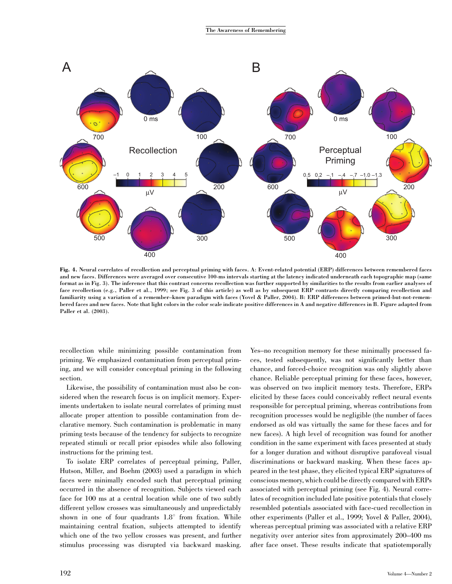

Fig. 4. Neural correlates of recollection and perceptual priming with faces. A: Event-related potential (ERP) differences between remembered faces and new faces. Differences were averaged over consecutive 100-ms intervals starting at the latency indicated underneath each topographic map (same format as in Fig. 3). The inference that this contrast concerns recollection was further supported by similarities to the results from earlier analyses of face recollection (e.g., Paller et al., 1999; see Fig. 3 of this article) as well as by subsequent ERP contrasts directly comparing recollection and familiarity using a variation of a remember–know paradigm with faces (Yovel & Paller, 2004). B: ERP differences between primed-but-not-remembered faces and new faces. Note that light colors in the color scale indicate positive differences in A and negative differences in B. Figure adapted from Paller et al. (2003).

recollection while minimizing possible contamination from priming. We emphasized contamination from perceptual priming, and we will consider conceptual priming in the following section.

Likewise, the possibility of contamination must also be considered when the research focus is on implicit memory. Experiments undertaken to isolate neural correlates of priming must allocate proper attention to possible contamination from declarative memory. Such contamination is problematic in many priming tests because of the tendency for subjects to recognize repeated stimuli or recall prior episodes while also following instructions for the priming test.

To isolate ERP correlates of perceptual priming, Paller, Hutson, Miller, and Boehm (2003) used a paradigm in which faces were minimally encoded such that perceptual priming occurred in the absence of recognition. Subjects viewed each face for 100 ms at a central location while one of two subtly different yellow crosses was simultaneously and unpredictably shown in one of four quadrants  $1.8^{\circ}$  from fixation. While maintaining central fixation, subjects attempted to identify which one of the two yellow crosses was present, and further stimulus processing was disrupted via backward masking.

Yes–no recognition memory for these minimally processed faces, tested subsequently, was not significantly better than chance, and forced-choice recognition was only slightly above chance. Reliable perceptual priming for these faces, however, was observed on two implicit memory tests. Therefore, ERPs elicited by these faces could conceivably reflect neural events responsible for perceptual priming, whereas contributions from recognition processes would be negligible (the number of faces endorsed as old was virtually the same for these faces and for new faces). A high level of recognition was found for another condition in the same experiment with faces presented at study for a longer duration and without disruptive parafoveal visual discriminations or backward masking. When these faces appeared in the test phase, they elicited typical ERP signatures of conscious memory, which could be directly compared with ERPs associated with perceptual priming (see Fig. 4). Neural correlates of recognition included late positive potentials that closely resembled potentials associated with face-cued recollection in other experiments (Paller et al., 1999; Yovel & Paller, 2004), whereas perceptual priming was associated with a relative ERP negativity over anterior sites from approximately 200–400 ms after face onset. These results indicate that spatiotemporally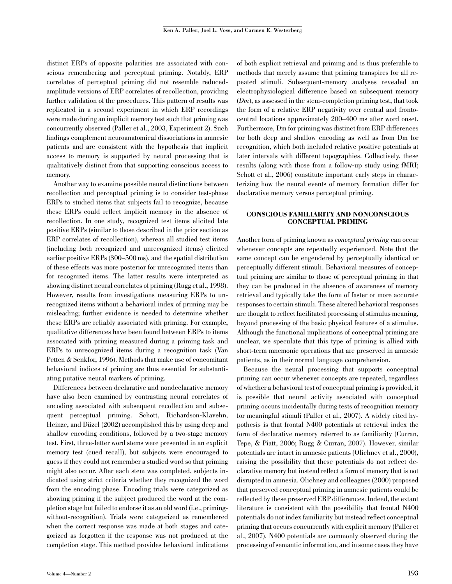distinct ERPs of opposite polarities are associated with conscious remembering and perceptual priming. Notably, ERP correlates of perceptual priming did not resemble reducedamplitude versions of ERP correlates of recollection, providing further validation of the procedures. This pattern of results was replicated in a second experiment in which ERP recordings were made during an implicit memory test such that priming was concurrently observed (Paller et al., 2003, Experiment 2). Such findings complement neuroanatomical dissociations in amnesic patients and are consistent with the hypothesis that implicit access to memory is supported by neural processing that is qualitatively distinct from that supporting conscious access to memory.

Another way to examine possible neural distinctions between recollection and perceptual priming is to consider test-phase ERPs to studied items that subjects fail to recognize, because these ERPs could reflect implicit memory in the absence of recollection. In one study, recognized test items elicited late positive ERPs (similar to those described in the prior section as ERP correlates of recollection), whereas all studied test items (including both recognized and unrecognized items) elicited earlier positive ERPs (300–500 ms), and the spatial distribution of these effects was more posterior for unrecognized items than for recognized items. The latter results were interpreted as showing distinct neural correlates of priming (Rugg et al., 1998). However, results from investigations measuring ERPs to unrecognized items without a behavioral index of priming may be misleading; further evidence is needed to determine whether these ERPs are reliably associated with priming. For example, qualitative differences have been found between ERPs to items associated with priming measured during a priming task and ERPs to unrecognized items during a recognition task (Van Petten & Senkfor, 1996). Methods that make use of concomitant behavioral indices of priming are thus essential for substantiating putative neural markers of priming.

Differences between declarative and nondeclarative memory have also been examined by contrasting neural correlates of encoding associated with subsequent recollection and subsequent perceptual priming. Schott, Richardson-Klavehn, Heinze, and Düzel (2002) accomplished this by using deep and shallow encoding conditions, followed by a two-stage memory test. First, three-letter word stems were presented in an explicit memory test (cued recall), but subjects were encouraged to guess if they could not remember a studied word so that priming might also occur. After each stem was completed, subjects indicated using strict criteria whether they recognized the word from the encoding phase. Encoding trials were categorized as showing priming if the subject produced the word at the completion stage but failed to endorse it as an old word (i.e., primingwithout-recognition). Trials were categorized as remembered when the correct response was made at both stages and categorized as forgotten if the response was not produced at the completion stage. This method provides behavioral indications

of both explicit retrieval and priming and is thus preferable to methods that merely assume that priming transpires for all repeated stimuli. Subsequent-memory analyses revealed an electrophysiological difference based on subsequent memory  $(Dm)$ , as assessed in the stem-completion priming test, that took the form of a relative ERP negativity over central and frontocentral locations approximately 200–400 ms after word onset. Furthermore, Dm for priming was distinct from ERP differences for both deep and shallow encoding as well as from Dm for recognition, which both included relative positive potentials at later intervals with different topographies. Collectively, these results (along with those from a follow-up study using fMRI; Schott et al., 2006) constitute important early steps in characterizing how the neural events of memory formation differ for declarative memory versus perceptual priming.

# CONSCIOUS FAMILIARITY AND NONCONSCIOUS CONCEPTUAL PRIMING

Another form of priming known as conceptual priming can occur whenever concepts are repeatedly experienced. Note that the same concept can be engendered by perceptually identical or perceptually different stimuli. Behavioral measures of conceptual priming are similar to those of perceptual priming in that they can be produced in the absence of awareness of memory retrieval and typically take the form of faster or more accurate responses to certain stimuli. These altered behavioral responses are thought to reflect facilitated processing of stimulus meaning, beyond processing of the basic physical features of a stimulus. Although the functional implications of conceptual priming are unclear, we speculate that this type of priming is allied with short-term mnemonic operations that are preserved in amnesic patients, as in their normal language comprehension.

Because the neural processing that supports conceptual priming can occur whenever concepts are repeated, regardless of whether a behavioral test of conceptual priming is provided, it is possible that neural activity associated with conceptual priming occurs incidentally during tests of recognition memory for meaningful stimuli (Paller et al., 2007). A widely cited hypothesis is that frontal N400 potentials at retrieval index the form of declarative memory referred to as familiarity (Curran, Tepe, & Piatt, 2006; Rugg & Curran, 2007). However, similar potentials are intact in amnesic patients (Olichney et al., 2000), raising the possibility that these potentials do not reflect declarative memory but instead reflect a form of memory that is not disrupted in amnesia. Olichney and colleagues (2000) proposed that preserved conceptual priming in amnesic patients could be reflected by these preserved ERP differences. Indeed, the extant literature is consistent with the possibility that frontal N400 potentials do not index familiarity but instead reflect conceptual priming that occurs concurrently with explicit memory (Paller et al., 2007). N400 potentials are commonly observed during the processing of semantic information, and in some cases they have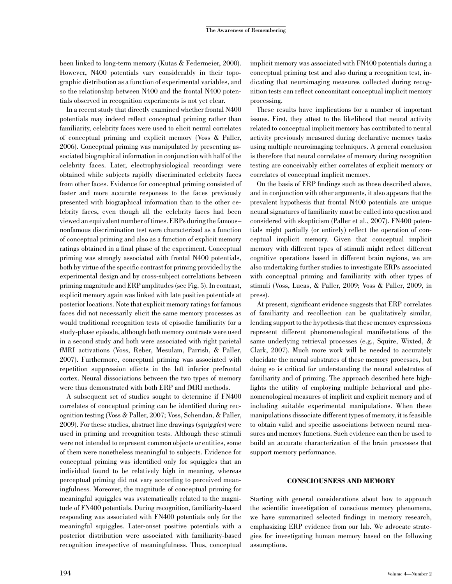been linked to long-term memory (Kutas & Federmeier, 2000). However, N400 potentials vary considerably in their topographic distribution as a function of experimental variables, and so the relationship between N400 and the frontal N400 potentials observed in recognition experiments is not yet clear.

In a recent study that directly examined whether frontal N400 potentials may indeed reflect conceptual priming rather than familiarity, celebrity faces were used to elicit neural correlates of conceptual priming and explicit memory (Voss & Paller, 2006). Conceptual priming was manipulated by presenting associated biographical information in conjunction with half of the celebrity faces. Later, electrophysiological recordings were obtained while subjects rapidly discriminated celebrity faces from other faces. Evidence for conceptual priming consisted of faster and more accurate responses to the faces previously presented with biographical information than to the other celebrity faces, even though all the celebrity faces had been viewed an equivalent number of times. ERPs during the famous– nonfamous discrimination test were characterized as a function of conceptual priming and also as a function of explicit memory ratings obtained in a final phase of the experiment. Conceptual priming was strongly associated with frontal N400 potentials, both by virtue of the specific contrast for priming provided by the experimental design and by cross-subject correlations between priming magnitude and ERP amplitudes (see Fig. 5). In contrast, explicit memory again was linked with late positive potentials at posterior locations. Note that explicit memory ratings for famous faces did not necessarily elicit the same memory processes as would traditional recognition tests of episodic familiarity for a study-phase episode, although both memory contrasts were used in a second study and both were associated with right parietal fMRI activations (Voss, Reber, Mesulam, Parrish, & Paller, 2007). Furthermore, conceptual priming was associated with repetition suppression effects in the left inferior prefrontal cortex. Neural dissociations between the two types of memory were thus demonstrated with both ERP and fMRI methods.

A subsequent set of studies sought to determine if FN400 correlates of conceptual priming can be identified during recognition testing (Voss & Paller, 2007; Voss, Schendan, & Paller, 2009). For these studies, abstract line drawings (squiggles) were used in priming and recognition tests. Although these stimuli were not intended to represent common objects or entities, some of them were nonetheless meaningful to subjects. Evidence for conceptual priming was identified only for squiggles that an individual found to be relatively high in meaning, whereas perceptual priming did not vary according to perceived meaningfulness. Moreover, the magnitude of conceptual priming for meaningful squiggles was systematically related to the magnitude of FN400 potentials. During recognition, familiarity-based responding was associated with FN400 potentials only for the meaningful squiggles. Later-onset positive potentials with a posterior distribution were associated with familiarity-based recognition irrespective of meaningfulness. Thus, conceptual implicit memory was associated with FN400 potentials during a conceptual priming test and also during a recognition test, indicating that neuroimaging measures collected during recognition tests can reflect concomitant conceptual implicit memory processing.

These results have implications for a number of important issues. First, they attest to the likelihood that neural activity related to conceptual implicit memory has contributed to neural activity previously measured during declarative memory tasks using multiple neuroimaging techniques. A general conclusion is therefore that neural correlates of memory during recognition testing are conceivably either correlates of explicit memory or correlates of conceptual implicit memory.

On the basis of ERP findings such as those described above, and in conjunction with other arguments, it also appears that the prevalent hypothesis that frontal N400 potentials are unique neural signatures of familiarity must be called into question and considered with skepticism (Paller et al., 2007). FN400 potentials might partially (or entirely) reflect the operation of conceptual implicit memory. Given that conceptual implicit memory with different types of stimuli might reflect different cognitive operations based in different brain regions, we are also undertaking further studies to investigate ERPs associated with conceptual priming and familiarity with other types of stimuli (Voss, Lucas, & Paller, 2009; Voss & Paller, 2009, in press).

At present, significant evidence suggests that ERP correlates of familiarity and recollection can be qualitatively similar, lending support to the hypothesis that these memory expressions represent different phenomenological manifestations of the same underlying retrieval processes (e.g., Squire, Wixted, & Clark, 2007). Much more work will be needed to accurately elucidate the neural substrates of these memory processes, but doing so is critical for understanding the neural substrates of familiarity and of priming. The approach described here highlights the utility of employing multiple behavioral and phenomenological measures of implicit and explicit memory and of including suitable experimental manipulations. When these manipulations dissociate different types of memory, it is feasible to obtain valid and specific associations between neural measures and memory functions. Such evidence can then be used to build an accurate characterization of the brain processes that support memory performance.

# CONSCIOUSNESS AND MEMORY

Starting with general considerations about how to approach the scientific investigation of conscious memory phenomena, we have summarized selected findings in memory research, emphasizing ERP evidence from our lab. We advocate strategies for investigating human memory based on the following assumptions.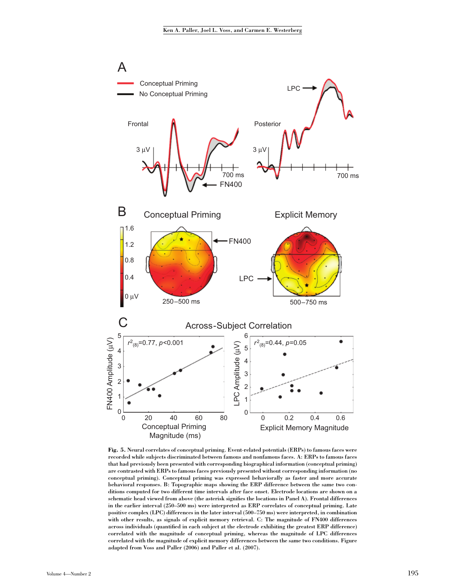

Fig. 5. Neural correlates of conceptual priming. Event-related potentials (ERPs) to famous faces were recorded while subjects discriminated between famous and nonfamous faces. A: ERPs to famous faces that had previously been presented with corresponding biographical information (conceptual priming) are contrasted with ERPs to famous faces previously presented without corresponding information (no conceptual priming). Conceptual priming was expressed behaviorally as faster and more accurate behavioral responses. B: Topographic maps showing the ERP difference between the same two conditions computed for two different time intervals after face onset. Electrode locations are shown on a schematic head viewed from above (the asterisk signifies the locations in Panel A). Frontal differences in the earlier interval (250–500 ms) were interpreted as ERP correlates of conceptual priming. Late positive complex (LPC) differences in the later interval (500–750 ms) were interpreted, in combination with other results, as signals of explicit memory retrieval. C: The magnitude of FN400 differences across individuals (quantified in each subject at the electrode exhibiting the greatest ERP difference) correlated with the magnitude of conceptual priming, whereas the magnitude of LPC differences correlated with the magnitude of explicit memory differences between the same two conditions. Figure adapted from Voss and Paller (2006) and Paller et al. (2007).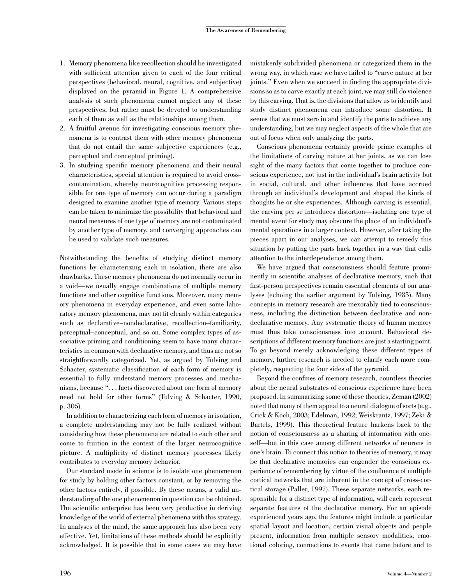- 1. Memory phenomena like recollection should be investigated with sufficient attention given to each of the four critical perspectives (behavioral, neural, cognitive, and subjective) displayed on the pyramid in Figure 1. A comprehensive analysis of such phenomena cannot neglect any of these perspectives, but rather must be devoted to understanding each of them as well as the relationships among them.
- 2. A fruitful avenue for investigating conscious memory phenomena is to contrast them with other memory phenomena that do not entail the same subjective experiences (e.g., perceptual and conceptual priming).
- 3. In studying specific memory phenomena and their neural characteristics, special attention is required to avoid crosscontamination, whereby neurocognitive processing responsible for one type of memory can occur during a paradigm designed to examine another type of memory. Various steps can be taken to minimize the possibility that behavioral and neural measures of one type of memory are not contaminated by another type of memory, and converging approaches can be used to validate such measures.

Notwithstanding the benefits of studying distinct memory functions by characterizing each in isolation, there are also drawbacks. These memory phenomena do not normally occur in a void—we usually engage combinations of multiple memory functions and other cognitive functions. Moreover, many memory phenomena in everyday experience, and even some laboratory memory phenomena, may not fit cleanly within categories such as declarative–nondeclarative, recollection–familiarity, perceptual–conceptual, and so on. Some complex types of associative priming and conditioning seem to have many characteristics in common with declarative memory, and thus are not so straightforwardly categorized. Yet, as argued by Tulving and Schacter, systematic classification of each form of memory is essential to fully understand memory processes and mechanisms, because ''. . . facts discovered about one form of memory need not hold for other forms'' (Tulving & Schacter, 1990, p. 305).

In addition to characterizing each form of memory in isolation, a complete understanding may not be fully realized without considering how these phenomena are related to each other and come to fruition in the context of the larger neurocognitive picture. A multiplicity of distinct memory processes likely contributes to everyday memory behavior.

Our standard mode in science is to isolate one phenomenon for study by holding other factors constant, or by removing the other factors entirely, if possible. By these means, a valid understanding of the one phenomenon in question can be obtained. The scientific enterprise has been very productive in deriving knowledge of the world of external phenomena with this strategy. In analyses of the mind, the same approach has also been very effective. Yet, limitations of these methods should be explicitly acknowledged. It is possible that in some cases we may have mistakenly subdivided phenomena or categorized them in the wrong way, in which case we have failed to ''carve nature at her joints.'' Even when we succeed in finding the appropriate divisions so as to carve exactly at each joint, we may still do violence by this carving. That is, the divisions that allow us to identify and study distinct phenomena can introduce some distortion. It seems that we must zero in and identify the parts to achieve any understanding, but we may neglect aspects of the whole that are out of focus when only analyzing the parts.

Conscious phenomena certainly provide prime examples of the limitations of carving nature at her joints, as we can lose sight of the many factors that come together to produce conscious experience, not just in the individual's brain activity but in social, cultural, and other influences that have accrued through an individual's development and shaped the kinds of thoughts he or she experiences. Although carving is essential, the carving per se introduces distortion—isolating one type of mental event for study may obscure the place of an individual's mental operations in a larger context. However, after taking the pieces apart in our analyses, we can attempt to remedy this situation by putting the parts back together in a way that calls attention to the interdependence among them.

We have argued that consciousness should feature prominently in scientific analyses of declarative memory, such that first-person perspectives remain essential elements of our analyses (echoing the earlier argument by Tulving, 1985). Many concepts in memory research are inexorably tied to consciousness, including the distinction between declarative and nondeclarative memory. Any systematic theory of human memory must thus take consciousness into account. Behavioral descriptions of different memory functions are just a starting point. To go beyond merely acknowledging these different types of memory, further research is needed to clarify each more completely, respecting the four sides of the pyramid.

Beyond the confines of memory research, countless theories about the neural substrates of conscious experience have been proposed. In summarizing some of these theories, Zeman (2002) noted that many of them appeal to a neural dialogue of sorts (e.g., Crick & Koch, 2003; Edelman, 1992; Weiskrantz, 1997; Zeki & Bartels, 1999). This theoretical feature harkens back to the notion of consciousness as a sharing of information with oneself—but in this case among different networks of neurons in one's brain. To connect this notion to theories of memory, it may be that declarative memories can engender the conscious experience of remembering by virtue of the confluence of multiple cortical networks that are inherent in the concept of cross-cortical storage (Paller, 1997). These separate networks, each responsible for a distinct type of information, will each represent separate features of the declarative memory. For an episode experienced years ago, the features might include a particular spatial layout and location, certain visual objects and people present, information from multiple sensory modalities, emotional coloring, connections to events that came before and to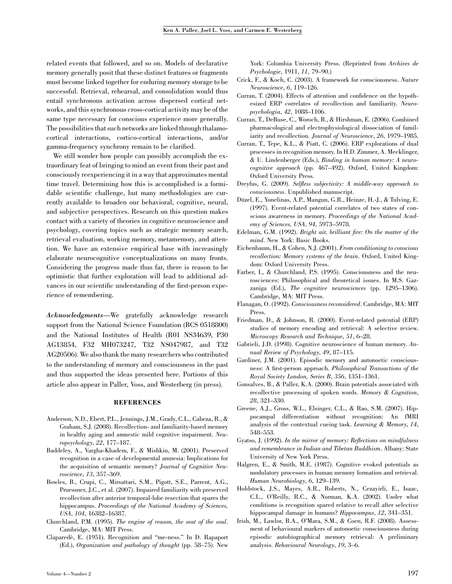related events that followed, and so on. Models of declarative memory generally posit that these distinct features or fragments must become linked together for enduring memory storage to be successful. Retrieval, rehearsal, and consolidation would thus entail synchronous activation across dispersed cortical networks, and this synchronous cross-cortical activity may be of the same type necessary for conscious experience more generally. The possibilities that such networks are linked through thalamocortical interactions, cortico-cortical interactions, and/or gamma-frequency synchrony remain to be clarified.

We still wonder how people can possibly accomplish the extraordinary feat of bringing to mind an event from their past and consciously reexperiencing it in a way that approximates mental time travel. Determining how this is accomplished is a formidable scientific challenge, but many methodologies are currently available to broaden our behavioral, cognitive, neural, and subjective perspectives. Research on this question makes contact with a variety of theories in cognitive neuroscience and psychology, covering topics such as strategic memory search, retrieval evaluation, working memory, metamemory, and attention. We have an extensive empirical base with increasingly elaborate neurocognitive conceptualizations on many fronts. Considering the progress made thus far, there is reason to be optimistic that further exploration will lead to additional advances in our scientific understanding of the first-person experience of remembering.

Acknowledgments—We gratefully acknowledge research support from the National Science Foundation (BCS 0518800) and the National Institutes of Health (R01 NS34639, P30 AG13854, F32 MH073247, T32 NS047987, and T32 AG20506). We also thank the many researchers who contributed to the understanding of memory and consciousness in the past and thus supported the ideas presented here. Portions of this article also appear in Paller, Voss, and Westerberg (in press).

#### REFERENCES

- Anderson, N.D., Ebert, P.L., Jennings, J.M., Grady, C.L., Cabeza, R., & Graham, S.J. (2008). Recollection- and familiarity-based memory in healthy aging and amnestic mild cognitive impairment. Neuropsychology, 22, 177–187.
- Baddeley, A., Vargha-Khadem, F., & Mishkin, M. (2001). Preserved recognition in a case of developmental amnesia: Implications for the acquisition of semantic memory? Journal of Cognitive Neuroscience, 13, 357–369.
- Bowles, B., Crupi, C., Mirsattari, S.M., Pigott, S.E., Parrent, A.G., Pruessner, J.C., et al. (2007). Impaired familiarity with preserved recollection after anterior temporal-lobe resection that spares the hippocampus. Proceedings of the National Academy of Sciences, USA, 104, 16382–16387.
- Churchland, P.M. (1995). The engine of reason, the seat of the soul. Cambridge, MA: MIT Press.
- Claparede`, E. (1951). Recognition and ''me-ness.'' In D. Rapaport (Ed.), Organization and pathology of thought (pp. 58–75). New

York: Columbia University Press. (Reprinted from Archives de Psychologie, 1911, 11, 79–90.)

- Crick, F., & Koch, C. (2003). A framework for consciousness. Nature Neuroscience, 6, 119–126.
- Curran, T. (2004). Effects of attention and confidence on the hypothesized ERP correlates of recollection and familiarity. Neuropsychologia, 42, 1088–1106.
- Curran, T., DeBuse, C., Woroch, B., & Hirshman, E. (2006). Combined pharmacological and electrophysiological dissociation of familiarity and recollection. Journal of Neuroscience, 26, 1979–1985.
- Curran, T., Tepe, K.L., & Piatt, C. (2006). ERP explorations of dual processes in recognition memory. In H.D. Zimmer, A. Mecklinger, & U. Lindenberger (Eds.), Binding in human memory: A neurocognitive approach (pp. 467–492). Oxford, United Kingdom: Oxford University Press.
- Dreyfus, G. (2009). Selfless subjectivity: A middle-way approach to consciousness. Unpublished manuscript.
- Düzel, E., Yonelinas, A.P., Mangun, G.R., Heinze, H.-J., & Tulving, E. (1997). Event-related potential correlates of two states of conscious awareness in memory. Proceedings of the National Academy of Sciences, USA, 94, 5973–5978.
- Edelman, G.M. (1992). Bright air, brilliant fire: On the matter of the mind. New York: Basic Books.
- Eichenbaum, H., & Cohen, N.J. (2001). From conditioning to conscious recollection: Memory systems of the brain. Oxford, United Kingdom: Oxford University Press.
- Farber, I., & Churchland, P.S. (1995). Consciousness and the neurosciences: Philosophical and theoretical issues. In M.S. Gazzaniga (Ed.), The cognitive neurosciences (pp. 1295–1306). Cambridge, MA: MIT Press.
- Flanagan, O. (1992). Consciousness reconsidered. Cambridge, MA: MIT Press.
- Friedman, D., & Johnson, R. (2000). Event-related potential (ERP) studies of memory encoding and retrieval: A selective review. Microscopy Research and Technique, 51, 6–28.
- Gabrieli, J.D. (1998). Cognitive neuroscience of human memory. Annual Review of Psychology, 49, 87–115.
- Gardiner, J.M. (2001). Episodic memory and autonoetic consciousness: A first-person approach. Philosophical Transactions of the Royal Society London, Series B, 356, 1351–1361.
- Gonsalves, B., & Paller, K.A. (2000). Brain potentials associated with recollective processing of spoken words. Memory & Cognition, 28, 321–330.
- Greene, A.J., Gross, W.L., Elsinger, C.L., & Rao, S.M. (2007). Hippocampal differentiation without recognition: An fMRI analysis of the contextual cueing task. Learning & Memory, 14, 548–553.
- Gyatso, J. (1992). In the mirror of memory: Reflections on mindfulness and remembrance in Indian and Tibetan Buddhism. Albany: State University of New York Press.
- Halgren, E., & Smith, M.E. (1987). Cognitive evoked potentials as modulatory processes in human memory formation and retrieval. Human Neurobiology, 6, 129–139.
- Holdstock, J.S., Mayes, A.R., Roberts, N., Cezayirli, E., Isaac, C.L., O'Reilly, R.C., & Norman, K.A. (2002). Under what conditions is recognition spared relative to recall after selective hippocampal damage in humans? Hippocampus, 12, 341–351.
- Irish, M., Lawlor, B.A., O'Mara, S.M., & Coen, R.F. (2008). Assessment of behavioural markers of autonoetic consciousness during episodic autobiographical memory retrieval: A preliminary analysis. Behavioural Neurology, 19, 3–6.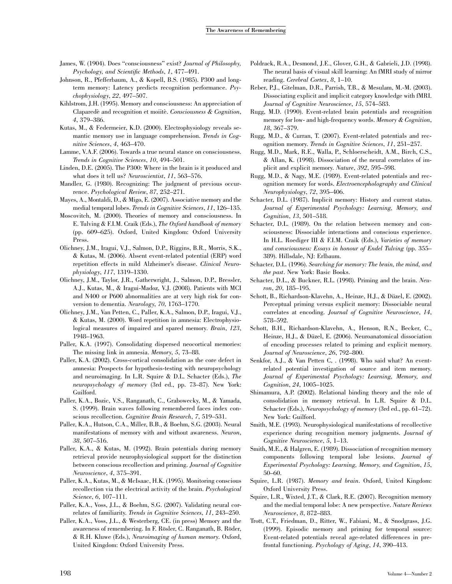- James, W. (1904). Does ''consciousness'' exist? Journal of Philosophy, Psychology, and Scientific Methods, 1, 477–491.
- Johnson, R., Pfefferbaum, A., & Kopell, B.S. (1985). P300 and longterm memory: Latency predicts recognition performance. Psychophysiology, 22, 497–507.
- Kihlstrom, J.H. (1995). Memory and consciousness: An appreciation of Claparedè and recognition et moiitè. Consciousness & Cognition, 4, 379–386.
- Kutas, M., & Federmeier, K.D. (2000). Electrophysiology reveals semantic memory use in language comprehension. Trends in Cognitive Sciences, 4, 463–470.
- Lamme, V.A.F. (2006). Towards a true neural stance on consciousness. Trends in Cognitive Sciences, 10, 494–501.
- Linden, D.E. (2005). The P300: Where in the brain is it produced and what does it tell us? Neuroscientist, 11, 563–576.
- Mandler, G. (1980). Recognizing: The judgment of previous occurrence. Psychological Review, 87, 252–271.
- Mayes, A., Montaldi, D., & Migo, E. (2007). Associative memory and the medial temporal lobes. Trends in Cognitive Sciences, 11, 126–135.
- Moscovitch, M. (2000). Theories of memory and consciousness. In E. Tulving & F.I.M. Craik (Eds.), The Oxford handbook of memory (pp. 609–625). Oxford, United Kingdom: Oxford University Press.
- Olichney, J.M., Iragui, V.J., Salmon, D.P., Riggins, B.R., Morris, S.K., & Kutas, M. (2006). Absent event-related potential (ERP) word repetition effects in mild Alzheimer's disease. Clinical Neurophysiology, 117, 1319–1330.
- Olichney, J.M., Taylor, J.R., Gatherwright, J., Salmon, D.P., Bressler, A.J., Kutas, M., & Iragui-Madoz, V.J. (2008). Patients with MCI and N400 or P600 abnormalities are at very high risk for conversion to dementia. Neurology, 70, 1763–1770.
- Olichney, J.M., Van Petten, C., Paller, K.A., Salmon, D.P., Iragui, V.J., & Kutas, M. (2000). Word repetition in amnesia: Electrophysiological measures of impaired and spared memory. Brain, 123, 1948–1963.
- Paller, K.A. (1997). Consolidating dispersed neocortical memories: The missing link in amnesia. Memory, 5, 73–88.
- Paller, K.A. (2002). Cross-cortical consolidation as the core defect in amnesia: Prospects for hypothesis-testing with neuropsychology and neuroimaging. In L.R. Squire & D.L. Schacter (Eds.), The neuropsychology of memory (3rd ed., pp. 73–87). New York: Guilford.
- Paller, K.A., Bozic, V.S., Ranganath, C., Grabowecky, M., & Yamada, S. (1999). Brain waves following remembered faces index conscious recollection. Cognitive Brain Research, 7, 519–531.
- Paller, K.A., Hutson, C.A., Miller, B.B., & Boehm, S.G. (2003). Neural manifestations of memory with and without awareness. Neuron, 38, 507–516.
- Paller, K.A., & Kutas, M. (1992). Brain potentials during memory retrieval provide neurophysiological support for the distinction between conscious recollection and priming. Journal of Cognitive Neuroscience, 4, 375–391.
- Paller, K.A., Kutas, M., & McIsaac, H.K. (1995). Monitoring conscious recollection via the electrical activity of the brain. Psychological Science, 6, 107–111.
- Paller, K.A., Voss, J.L., & Boehm, S.G. (2007). Validating neural correlates of familiarity. Trends in Cognitive Sciences, 11, 243–250.
- Paller, K.A., Voss, J.L., & Westerberg, CE. (in press) Memory and the awareness of remembering. In F. Rösler, C. Ranganath, B. Röder, & R.H. Kluwe (Eds.), Neuroimaging of human memory. Oxford, United Kingdom: Oxford University Press.
- Poldrack, R.A., Desmond, J.E., Glover, G.H., & Gabrieli, J.D. (1998). The neural basis of visual skill learning: An fMRI study of mirror reading. Cerebral Cortex, 8, 1–10.
- Reber, P.J., Gitelman, D.R., Parrish, T.B., & Mesulam, M.-M. (2003). Dissociating explicit and implicit category knowledge with fMRI. Journal of Cognitive Neuroscience, 15, 574–583.
- Rugg, M.D. (1990). Event-related brain potentials and recognition memory for low- and high-frequency words. Memory & Cognition, 18, 367–379.
- Rugg, M.D., & Curran, T. (2007). Event-related potentials and recognition memory. Trends in Cognitive Sciences, 11, 251–257.
- Rugg, M.D., Mark, R.E., Walla, P., Schloerscheidt, A.M., Birch, C.S., & Allan, K. (1998). Dissociation of the neural correlates of implicit and explicit memory. Nature, 392, 595–598.
- Rugg, M.D., & Nagy, M.E. (1989). Event-related potentials and recognition memory for words. Electroencepholography and Clinical Neurophysiology, 72, 395–406.
- Schacter, D.L. (1987). Implicit memory: History and current status. Journal of Experimental Psychology: Learning, Memory, and Cognition, 13, 501–518.
- Schacter, D.L. (1989). On the relation between memory and consciousness: Dissociable interactions and conscious experience. In H.L. Roediger III & F.I.M. Craik (Eds.), Varieties of memory and consciousness: Essays in honour of Endel Tulving (pp. 355– 389). Hillsdale, NJ: Erlbaum.
- Schacter, D.L. (1996). Searching for memory: The brain, the mind, and the past. New York: Basic Books.
- Schacter, D.L., & Buckner, R.L. (1998). Priming and the brain. Neuron, 20, 185–195.
- Schott, B., Richardson-Klavehn, A., Heinze, H.J., & Düzel, E. (2002). Perceptual priming versus explicit memory: Dissociable neural correlates at encoding. Journal of Cognitive Neuroscience, 14, 578–592.
- Schott, B.H., Richardson-Klavehn, A., Henson, R.N., Becker, C., Heinze, H.J., & Düzel, E. (2006). Neuroanatomical dissociation of encoding processes related to priming and explicit memory. Journal of Neuroscience, 26, 792–800.
- Senkfor, A.J., & Van Petten C, . (1998). Who said what? An eventrelated potential investigation of source and item memory. Journal of Experimental Psychology: Learning, Memory, and Cognition, 24, 1005–1025.
- Shimamura, A.P. (2002). Relational binding theory and the role of consolidation in memory retrieval. In L.R. Squire & D.L. Schacter (Eds.), Neuropsychology of memory (3rd ed., pp. 61-72). New York: Guilford.
- Smith, M.E. (1993). Neurophysiological manifestations of recollective experience during recognition memory judgments. Journal of Cognitive Neuroscience, 5, 1–13.
- Smith, M.E., & Halgren, E. (1989). Dissociation of recognition memory components following temporal lobe lesions. Journal of Experimental Psychology: Learning, Memory, and Cognition, 15, 50–60.
- Squire, L.R. (1987). Memory and brain. Oxford, United Kingdom: Oxford University Press.
- Squire, L.R., Wixted, J.T., & Clark, R.E. (2007). Recognition memory and the medial temporal lobe: A new perspective. Nature Reviews Neuroscience, 8, 872–883.
- Trott, C.T., Friedman, D., Ritter, W., Fabiani, M., & Snodgrass, J.G. (1999). Episodic memory and priming for temporal source: Event-related potentials reveal age-related differences in prefrontal functioning. Psychology of Aging, 14, 390–413.